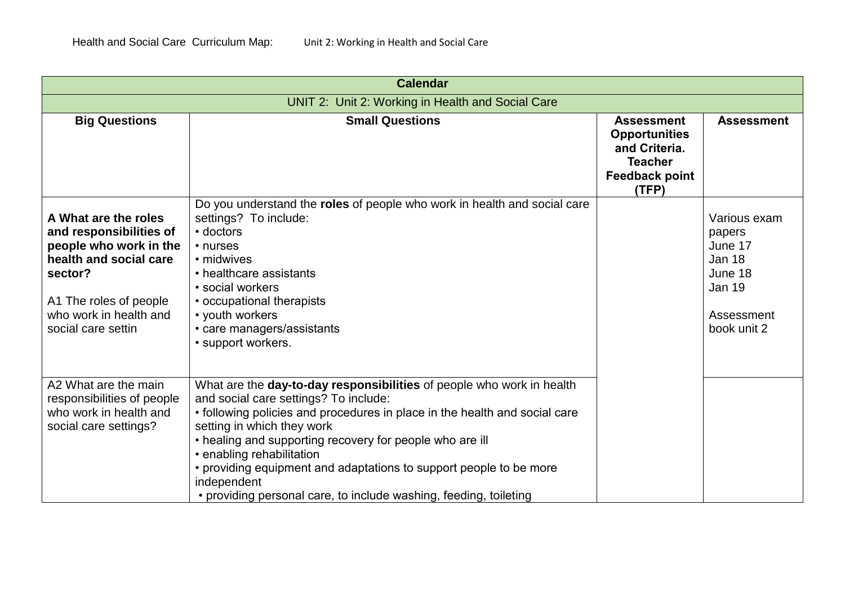|                                                                                                                                                                                          | <b>Calendar</b>                                                                                                                                                                                                                                                                                                                                                                                                                                                               |                                                                                                                |                                                                                                      |
|------------------------------------------------------------------------------------------------------------------------------------------------------------------------------------------|-------------------------------------------------------------------------------------------------------------------------------------------------------------------------------------------------------------------------------------------------------------------------------------------------------------------------------------------------------------------------------------------------------------------------------------------------------------------------------|----------------------------------------------------------------------------------------------------------------|------------------------------------------------------------------------------------------------------|
| UNIT 2: Unit 2: Working in Health and Social Care                                                                                                                                        |                                                                                                                                                                                                                                                                                                                                                                                                                                                                               |                                                                                                                |                                                                                                      |
| <b>Big Questions</b>                                                                                                                                                                     | <b>Small Questions</b>                                                                                                                                                                                                                                                                                                                                                                                                                                                        | <b>Assessment</b><br><b>Opportunities</b><br>and Criteria.<br><b>Teacher</b><br><b>Feedback point</b><br>(TFP) | <b>Assessment</b>                                                                                    |
| A What are the roles<br>and responsibilities of<br>people who work in the<br>health and social care<br>sector?<br>A1 The roles of people<br>who work in health and<br>social care settin | Do you understand the roles of people who work in health and social care<br>settings? To include:<br>• doctors<br>• nurses<br>• midwives<br>• healthcare assistants<br>• social workers<br>• occupational therapists<br>• youth workers<br>• care managers/assistants<br>• support workers.                                                                                                                                                                                   |                                                                                                                | Various exam<br>papers<br>June 17<br>Jan 18<br>June 18<br><b>Jan 19</b><br>Assessment<br>book unit 2 |
| A2 What are the main<br>responsibilities of people<br>who work in health and<br>social care settings?                                                                                    | What are the day-to-day responsibilities of people who work in health<br>and social care settings? To include:<br>• following policies and procedures in place in the health and social care<br>setting in which they work<br>• healing and supporting recovery for people who are ill<br>• enabling rehabilitation<br>• providing equipment and adaptations to support people to be more<br>independent<br>• providing personal care, to include washing, feeding, toileting |                                                                                                                |                                                                                                      |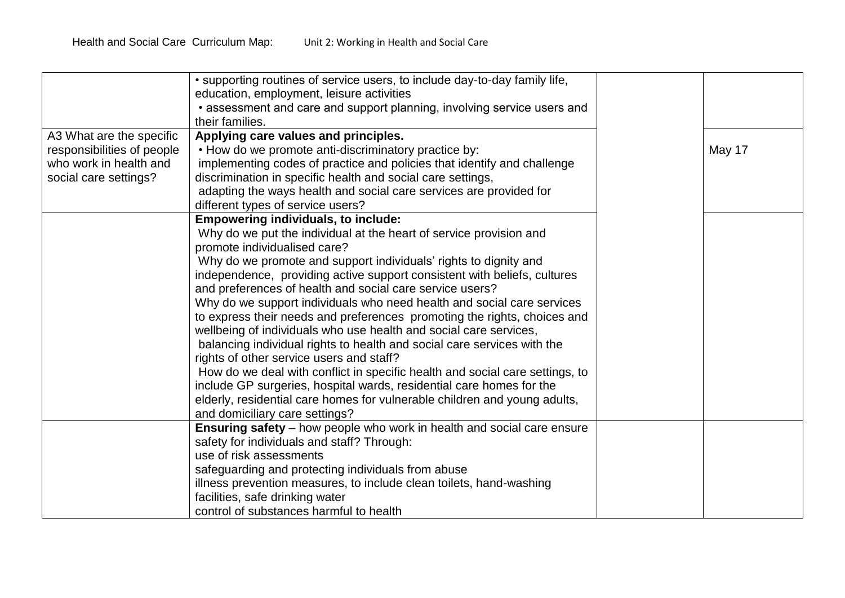|                                                      | • supporting routines of service users, to include day-to-day family life,<br>education, employment, leisure activities<br>• assessment and care and support planning, involving service users and<br>their families. |        |
|------------------------------------------------------|-----------------------------------------------------------------------------------------------------------------------------------------------------------------------------------------------------------------------|--------|
| A3 What are the specific                             | Applying care values and principles.                                                                                                                                                                                  |        |
| responsibilities of people<br>who work in health and | • How do we promote anti-discriminatory practice by:<br>implementing codes of practice and policies that identify and challenge                                                                                       | May 17 |
| social care settings?                                | discrimination in specific health and social care settings,                                                                                                                                                           |        |
|                                                      | adapting the ways health and social care services are provided for                                                                                                                                                    |        |
|                                                      | different types of service users?                                                                                                                                                                                     |        |
|                                                      | <b>Empowering individuals, to include:</b>                                                                                                                                                                            |        |
|                                                      | Why do we put the individual at the heart of service provision and                                                                                                                                                    |        |
|                                                      | promote individualised care?                                                                                                                                                                                          |        |
|                                                      | Why do we promote and support individuals' rights to dignity and<br>independence, providing active support consistent with beliefs, cultures                                                                          |        |
|                                                      | and preferences of health and social care service users?                                                                                                                                                              |        |
|                                                      | Why do we support individuals who need health and social care services                                                                                                                                                |        |
|                                                      | to express their needs and preferences promoting the rights, choices and                                                                                                                                              |        |
|                                                      | wellbeing of individuals who use health and social care services,                                                                                                                                                     |        |
|                                                      | balancing individual rights to health and social care services with the                                                                                                                                               |        |
|                                                      | rights of other service users and staff?                                                                                                                                                                              |        |
|                                                      | How do we deal with conflict in specific health and social care settings, to                                                                                                                                          |        |
|                                                      | include GP surgeries, hospital wards, residential care homes for the<br>elderly, residential care homes for vulnerable children and young adults,                                                                     |        |
|                                                      | and domiciliary care settings?                                                                                                                                                                                        |        |
|                                                      | Ensuring safety - how people who work in health and social care ensure                                                                                                                                                |        |
|                                                      | safety for individuals and staff? Through:                                                                                                                                                                            |        |
|                                                      | use of risk assessments                                                                                                                                                                                               |        |
|                                                      | safeguarding and protecting individuals from abuse                                                                                                                                                                    |        |
|                                                      | illness prevention measures, to include clean toilets, hand-washing                                                                                                                                                   |        |
|                                                      | facilities, safe drinking water                                                                                                                                                                                       |        |
|                                                      | control of substances harmful to health                                                                                                                                                                               |        |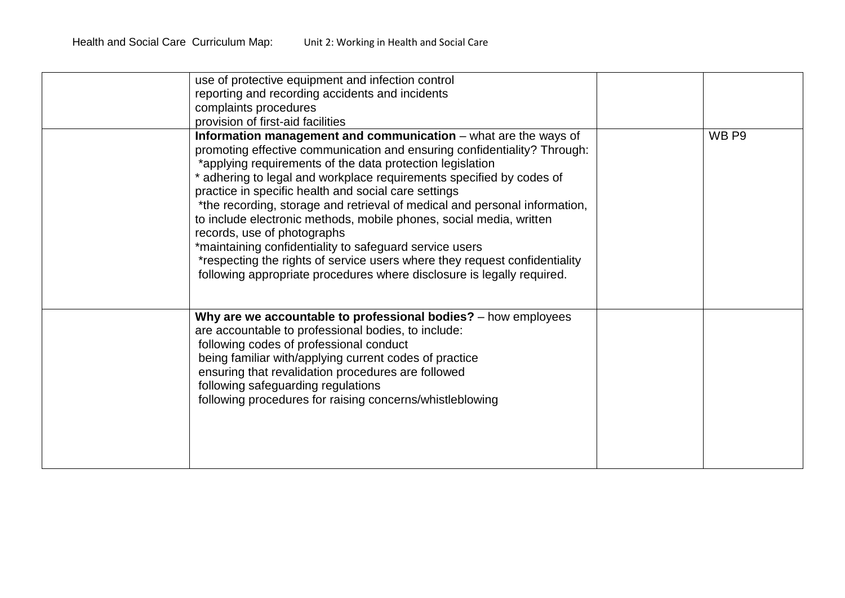| use of protective equipment and infection control<br>reporting and recording accidents and incidents<br>complaints procedures<br>provision of first-aid facilities                                                                                                                                                                                                                                                                                                                                                                                                                                                                                                                                                                            |       |
|-----------------------------------------------------------------------------------------------------------------------------------------------------------------------------------------------------------------------------------------------------------------------------------------------------------------------------------------------------------------------------------------------------------------------------------------------------------------------------------------------------------------------------------------------------------------------------------------------------------------------------------------------------------------------------------------------------------------------------------------------|-------|
| Information management and communication - what are the ways of<br>promoting effective communication and ensuring confidentiality? Through:<br>*applying requirements of the data protection legislation<br>adhering to legal and workplace requirements specified by codes of<br>practice in specific health and social care settings<br>*the recording, storage and retrieval of medical and personal information,<br>to include electronic methods, mobile phones, social media, written<br>records, use of photographs<br>*maintaining confidentiality to safeguard service users<br>*respecting the rights of service users where they request confidentiality<br>following appropriate procedures where disclosure is legally required. | WB P9 |
| Why are we accountable to professional bodies? - how employees<br>are accountable to professional bodies, to include:<br>following codes of professional conduct<br>being familiar with/applying current codes of practice<br>ensuring that revalidation procedures are followed<br>following safeguarding regulations<br>following procedures for raising concerns/whistleblowing                                                                                                                                                                                                                                                                                                                                                            |       |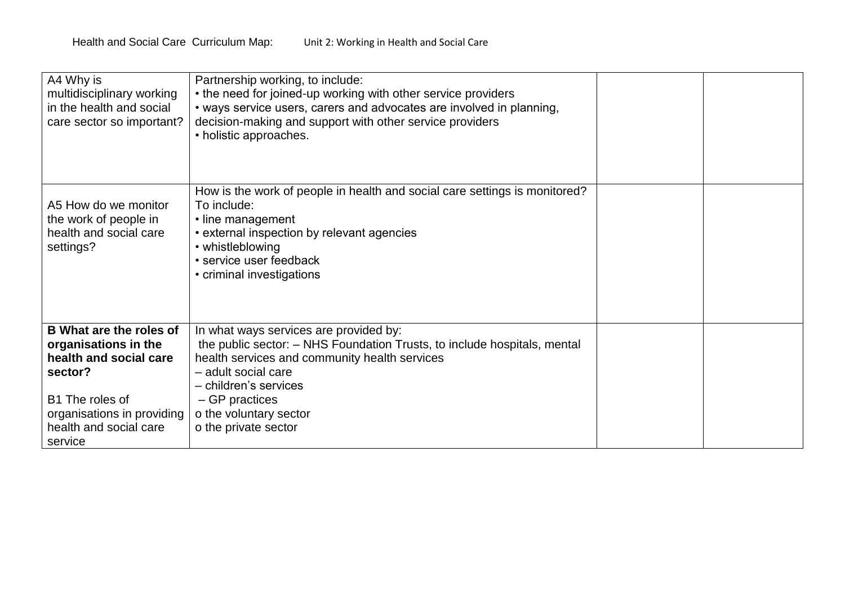| A4 Why is<br>multidisciplinary working<br>in the health and social<br>care sector so important?                                                                                   | Partnership working, to include:<br>• the need for joined-up working with other service providers<br>• ways service users, carers and advocates are involved in planning,<br>decision-making and support with other service providers<br>• holistic approaches.                         |  |
|-----------------------------------------------------------------------------------------------------------------------------------------------------------------------------------|-----------------------------------------------------------------------------------------------------------------------------------------------------------------------------------------------------------------------------------------------------------------------------------------|--|
| A5 How do we monitor<br>the work of people in<br>health and social care<br>settings?                                                                                              | How is the work of people in health and social care settings is monitored?<br>To include:<br>• line management<br>• external inspection by relevant agencies<br>• whistleblowing<br>• service user feedback<br>• criminal investigations                                                |  |
| <b>B</b> What are the roles of<br>organisations in the<br>health and social care<br>sector?<br>B1 The roles of<br>organisations in providing<br>health and social care<br>service | In what ways services are provided by:<br>the public sector: - NHS Foundation Trusts, to include hospitals, mental<br>health services and community health services<br>- adult social care<br>- children's services<br>- GP practices<br>o the voluntary sector<br>o the private sector |  |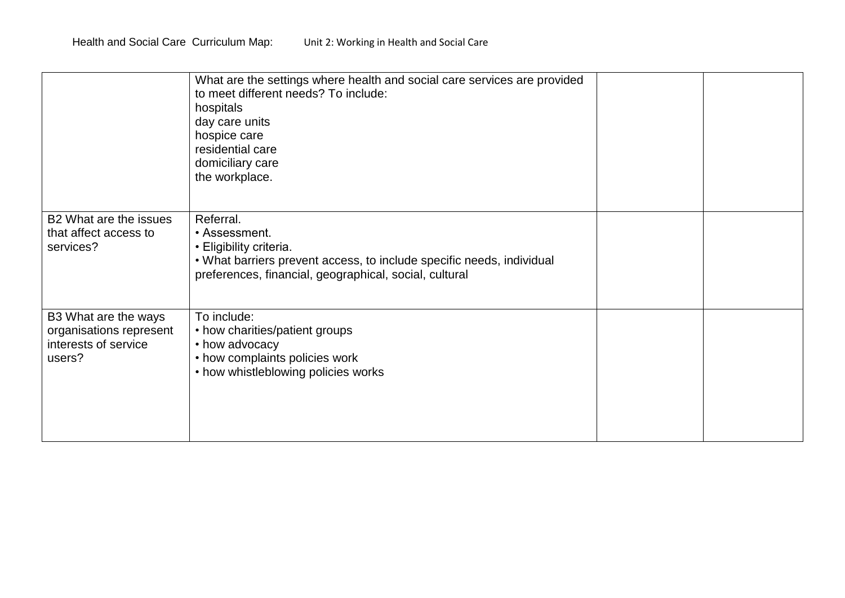|                                                                                   | What are the settings where health and social care services are provided<br>to meet different needs? To include:<br>hospitals<br>day care units<br>hospice care<br>residential care<br>domiciliary care<br>the workplace. |  |
|-----------------------------------------------------------------------------------|---------------------------------------------------------------------------------------------------------------------------------------------------------------------------------------------------------------------------|--|
| B2 What are the issues<br>that affect access to<br>services?                      | Referral.<br>• Assessment.<br>• Eligibility criteria.<br>. What barriers prevent access, to include specific needs, individual<br>preferences, financial, geographical, social, cultural                                  |  |
| B3 What are the ways<br>organisations represent<br>interests of service<br>users? | To include:<br>• how charities/patient groups<br>• how advocacy<br>• how complaints policies work<br>• how whistleblowing policies works                                                                                  |  |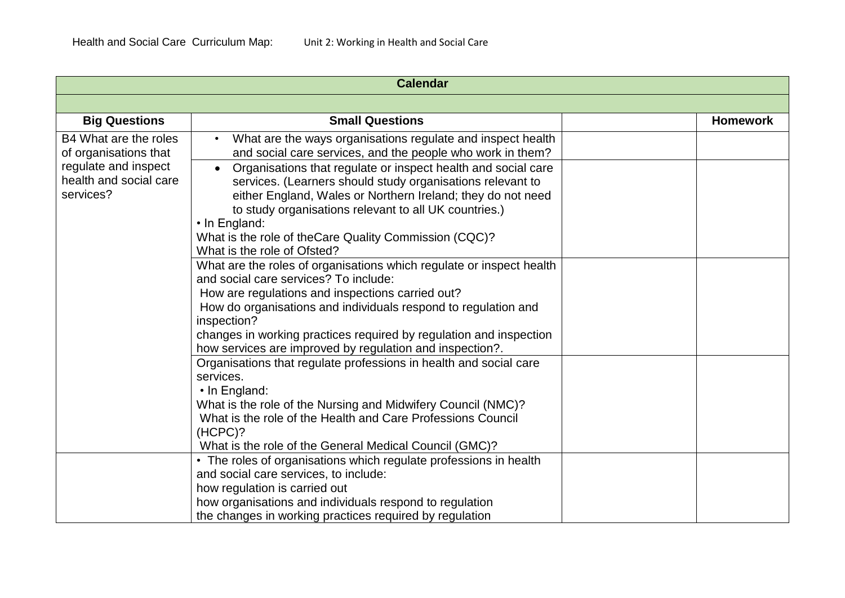| <b>Calendar</b>                                                                                               |                                                                                                                                                                                                                      |                 |
|---------------------------------------------------------------------------------------------------------------|----------------------------------------------------------------------------------------------------------------------------------------------------------------------------------------------------------------------|-----------------|
|                                                                                                               |                                                                                                                                                                                                                      |                 |
| <b>Big Questions</b>                                                                                          | <b>Small Questions</b>                                                                                                                                                                                               | <b>Homework</b> |
| B4 What are the roles<br>of organisations that<br>regulate and inspect<br>health and social care<br>services? | What are the ways organisations regulate and inspect health<br>$\bullet$<br>and social care services, and the people who work in them?<br>Organisations that regulate or inspect health and social care<br>$\bullet$ |                 |
|                                                                                                               | services. (Learners should study organisations relevant to<br>either England, Wales or Northern Ireland; they do not need                                                                                            |                 |
|                                                                                                               | to study organisations relevant to all UK countries.)<br>• In England:                                                                                                                                               |                 |
|                                                                                                               | What is the role of theCare Quality Commission (CQC)?<br>What is the role of Ofsted?                                                                                                                                 |                 |
|                                                                                                               | What are the roles of organisations which regulate or inspect health<br>and social care services? To include:                                                                                                        |                 |
|                                                                                                               | How are regulations and inspections carried out?<br>How do organisations and individuals respond to regulation and                                                                                                   |                 |
|                                                                                                               | inspection?<br>changes in working practices required by regulation and inspection                                                                                                                                    |                 |
|                                                                                                               | how services are improved by regulation and inspection?.<br>Organisations that regulate professions in health and social care                                                                                        |                 |
|                                                                                                               | services.<br>$\cdot$ In England:                                                                                                                                                                                     |                 |
|                                                                                                               | What is the role of the Nursing and Midwifery Council (NMC)?<br>What is the role of the Health and Care Professions Council                                                                                          |                 |
|                                                                                                               | (HCPC)?<br>What is the role of the General Medical Council (GMC)?                                                                                                                                                    |                 |
|                                                                                                               | • The roles of organisations which regulate professions in health<br>and social care services, to include:                                                                                                           |                 |
|                                                                                                               | how regulation is carried out                                                                                                                                                                                        |                 |
|                                                                                                               | how organisations and individuals respond to regulation<br>the changes in working practices required by regulation                                                                                                   |                 |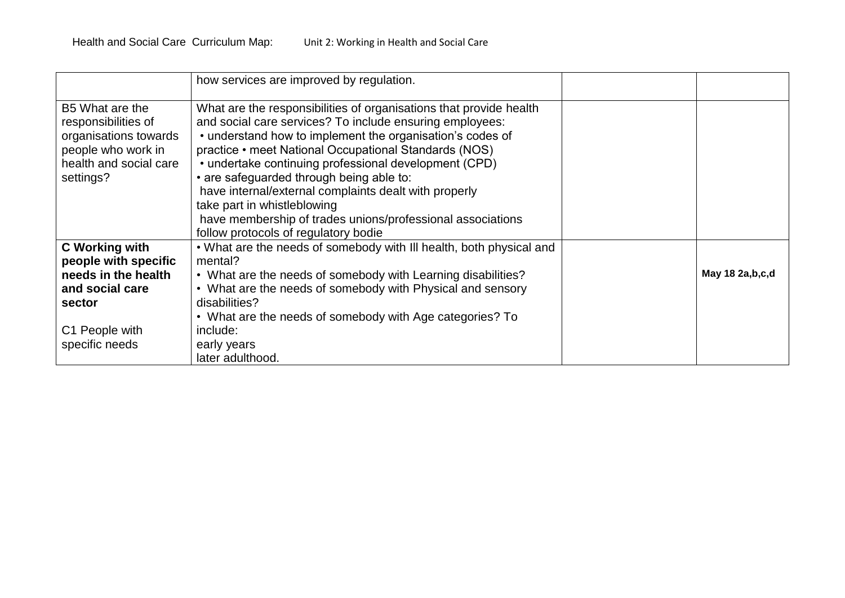|                                                                                                                                       | how services are improved by regulation.                                                                                                                                                                                                                                                                                                                                                                                                                                                                                                                |                    |
|---------------------------------------------------------------------------------------------------------------------------------------|---------------------------------------------------------------------------------------------------------------------------------------------------------------------------------------------------------------------------------------------------------------------------------------------------------------------------------------------------------------------------------------------------------------------------------------------------------------------------------------------------------------------------------------------------------|--------------------|
| B5 What are the<br>responsibilities of<br>organisations towards<br>people who work in<br>health and social care<br>settings?          | What are the responsibilities of organisations that provide health<br>and social care services? To include ensuring employees:<br>• understand how to implement the organisation's codes of<br>practice • meet National Occupational Standards (NOS)<br>• undertake continuing professional development (CPD)<br>• are safeguarded through being able to:<br>have internal/external complaints dealt with properly<br>take part in whistleblowing<br>have membership of trades unions/professional associations<br>follow protocols of regulatory bodie |                    |
| <b>C</b> Working with<br>people with specific<br>needs in the health<br>and social care<br>sector<br>C1 People with<br>specific needs | . What are the needs of somebody with III health, both physical and<br>mental?<br>• What are the needs of somebody with Learning disabilities?<br>• What are the needs of somebody with Physical and sensory<br>disabilities?<br>• What are the needs of somebody with Age categories? To<br>include:<br>early years<br>later adulthood.                                                                                                                                                                                                                | May 18 2a, b, c, d |